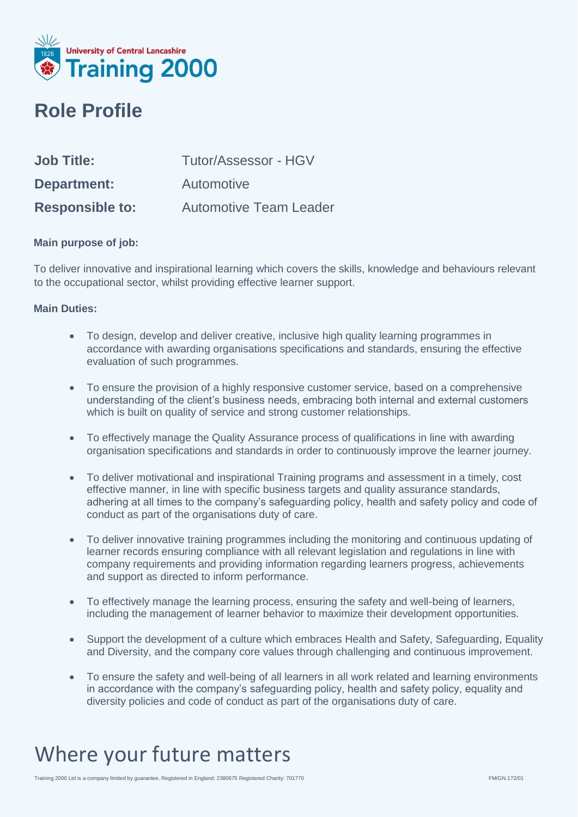

#### **Role Profile**

| <b>Job Title:</b>      | Tutor/Assessor - HGV          |
|------------------------|-------------------------------|
| <b>Department:</b>     | Automotive                    |
| <b>Responsible to:</b> | <b>Automotive Team Leader</b> |

#### **Main purpose of job:**

To deliver innovative and inspirational learning which covers the skills, knowledge and behaviours relevant to the occupational sector, whilst providing effective learner support.

#### **Main Duties:**

- To design, develop and deliver creative, inclusive high quality learning programmes in accordance with awarding organisations specifications and standards, ensuring the effective evaluation of such programmes.
- To ensure the provision of a highly responsive customer service, based on a comprehensive understanding of the client's business needs, embracing both internal and external customers which is built on quality of service and strong customer relationships.
- To effectively manage the Quality Assurance process of qualifications in line with awarding organisation specifications and standards in order to continuously improve the learner journey.
- To deliver motivational and inspirational Training programs and assessment in a timely, cost effective manner, in line with specific business targets and quality assurance standards, adhering at all times to the company's safeguarding policy, health and safety policy and code of conduct as part of the organisations duty of care.
- To deliver innovative training programmes including the monitoring and continuous updating of learner records ensuring compliance with all relevant legislation and regulations in line with company requirements and providing information regarding learners progress, achievements and support as directed to inform performance.
- To effectively manage the learning process, ensuring the safety and well-being of learners, including the management of learner behavior to maximize their development opportunities.
- Support the development of a culture which embraces Health and Safety, Safeguarding, Equality and Diversity, and the company core values through challenging and continuous improvement.
- To ensure the safety and well-being of all learners in all work related and learning environments in accordance with the company's safeguarding policy, health and safety policy, equality and diversity policies and code of conduct as part of the organisations duty of care.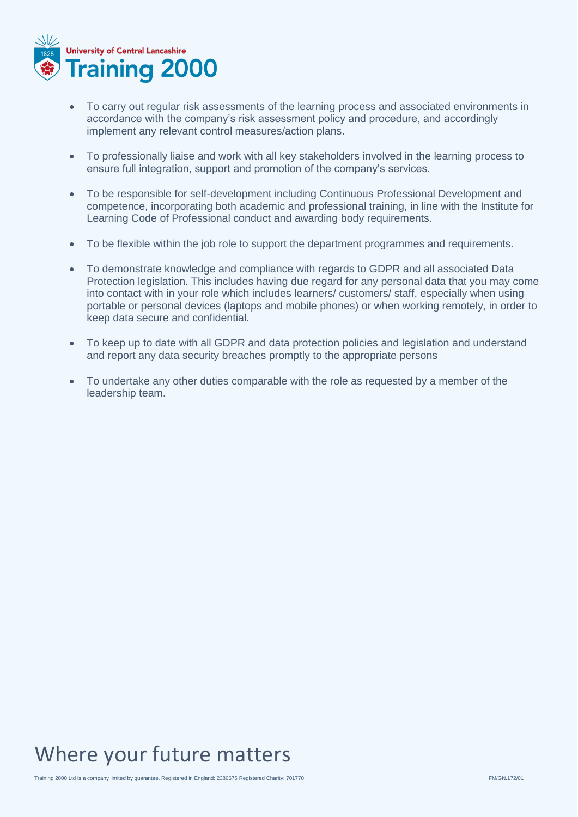

- To carry out regular risk assessments of the learning process and associated environments in accordance with the company's risk assessment policy and procedure, and accordingly implement any relevant control measures/action plans.
- To professionally liaise and work with all key stakeholders involved in the learning process to ensure full integration, support and promotion of the company's services.
- To be responsible for self-development including Continuous Professional Development and competence, incorporating both academic and professional training, in line with the Institute for Learning Code of Professional conduct and awarding body requirements.
- To be flexible within the job role to support the department programmes and requirements.
- To demonstrate knowledge and compliance with regards to GDPR and all associated Data Protection legislation. This includes having due regard for any personal data that you may come into contact with in your role which includes learners/ customers/ staff, especially when using portable or personal devices (laptops and mobile phones) or when working remotely, in order to keep data secure and confidential.
- To keep up to date with all GDPR and data protection policies and legislation and understand and report any data security breaches promptly to the appropriate persons
- To undertake any other duties comparable with the role as requested by a member of the leadership team.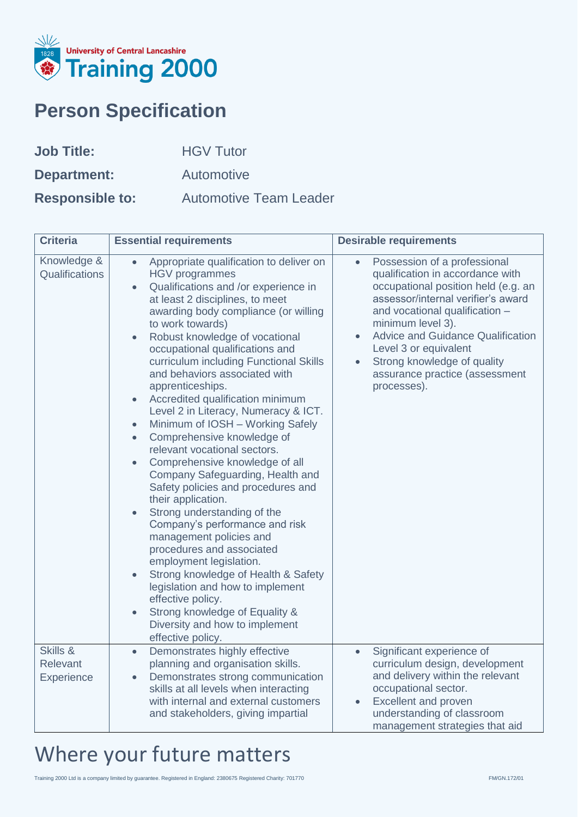

### **Person Specification**

| <b>Job Title:</b>      | <b>HGV Tutor</b>              |
|------------------------|-------------------------------|
| Department:            | Automotive                    |
| <b>Responsible to:</b> | <b>Automotive Team Leader</b> |

| <b>Criteria</b>                    | <b>Essential requirements</b>                                                                                                                                                                                                                                                                                                                                                                                                                                                                                                                                                                                                                                                                                                                                                                                                                                                                                                                                                                                                                                                                                                                                 | <b>Desirable requirements</b>                                                                                                                                                                                                                                                                                                                                                                    |
|------------------------------------|---------------------------------------------------------------------------------------------------------------------------------------------------------------------------------------------------------------------------------------------------------------------------------------------------------------------------------------------------------------------------------------------------------------------------------------------------------------------------------------------------------------------------------------------------------------------------------------------------------------------------------------------------------------------------------------------------------------------------------------------------------------------------------------------------------------------------------------------------------------------------------------------------------------------------------------------------------------------------------------------------------------------------------------------------------------------------------------------------------------------------------------------------------------|--------------------------------------------------------------------------------------------------------------------------------------------------------------------------------------------------------------------------------------------------------------------------------------------------------------------------------------------------------------------------------------------------|
| Knowledge &<br>Qualifications      | Appropriate qualification to deliver on<br>$\bullet$<br><b>HGV</b> programmes<br>Qualifications and /or experience in<br>$\bullet$<br>at least 2 disciplines, to meet<br>awarding body compliance (or willing<br>to work towards)<br>Robust knowledge of vocational<br>$\bullet$<br>occupational qualifications and<br>curriculum including Functional Skills<br>and behaviors associated with<br>apprenticeships.<br>Accredited qualification minimum<br>$\bullet$<br>Level 2 in Literacy, Numeracy & ICT.<br>Minimum of IOSH - Working Safely<br>$\bullet$<br>Comprehensive knowledge of<br>$\bullet$<br>relevant vocational sectors.<br>Comprehensive knowledge of all<br>$\bullet$<br>Company Safeguarding, Health and<br>Safety policies and procedures and<br>their application.<br>Strong understanding of the<br>Company's performance and risk<br>management policies and<br>procedures and associated<br>employment legislation.<br>Strong knowledge of Health & Safety<br>$\bullet$<br>legislation and how to implement<br>effective policy.<br>Strong knowledge of Equality &<br>$\bullet$<br>Diversity and how to implement<br>effective policy. | Possession of a professional<br>$\bullet$<br>qualification in accordance with<br>occupational position held (e.g. an<br>assessor/internal verifier's award<br>and vocational qualification -<br>minimum level 3).<br><b>Advice and Guidance Qualification</b><br>$\bullet$<br>Level 3 or equivalent<br>Strong knowledge of quality<br>$\bullet$<br>assurance practice (assessment<br>processes). |
| Skills &<br>Relevant<br>Experience | Demonstrates highly effective<br>$\bullet$<br>planning and organisation skills.<br>Demonstrates strong communication<br>$\bullet$<br>skills at all levels when interacting<br>with internal and external customers<br>and stakeholders, giving impartial                                                                                                                                                                                                                                                                                                                                                                                                                                                                                                                                                                                                                                                                                                                                                                                                                                                                                                      | Significant experience of<br>$\bullet$<br>curriculum design, development<br>and delivery within the relevant<br>occupational sector.<br>Excellent and proven<br>$\bullet$<br>understanding of classroom<br>management strategies that aid                                                                                                                                                        |